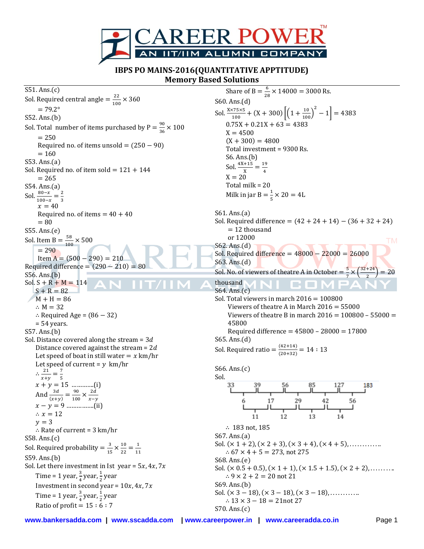

**IBPS PO MAINS-2016(QUANTITATIVE APPTITUDE) Memory Based Solutions**

S51. Ans.(c) Sol. Required central angle  $=\frac{2}{\sqrt{2}}$  $rac{22}{100}$   $\times$  $= 79.2$ ° S52. Ans.(b) Sol. Total number of items purchased by  $P = \frac{9}{3}$  $rac{90}{36}$  X  $= 250$ Required no. of items unsold  $= (250 - 90)$  $= 160$ S53. Ans.(a) Sol. Required no. of item sold =  $121 + 144$  $= 265$ S54. Ans.(a) Sol.  $\frac{80-x}{100-x} = \frac{2}{3}$ 3  $x=40$ Required no. of items  $= 40 + 40$  $= 80$ S55. Ans.(e) Sol. Item B =  $\frac{5}{10}$  $\frac{36}{100}$   $\times$  $= 290$ Item A =  $(500 - 290) = 210$ Required difference =  $(290 - 210) = 80$ S56. Ans.(b) Sol.  $S + R + M = 114$  $S + R = 82$  $M + H = 86$  $\therefore$  M = 32  $\therefore$  Required Age = (86 - 32)  $= 54$  years. S57. Ans.(b) Sol. Distance covered along the stream =  $3d$ Distance covered against the stream =  $2d$ Let speed of boat in still water  $=x \text{ km/hr}$ Let speed of current =  $y \ km/hr$  $\therefore$   $\frac{2}{\cdot}$  $\frac{21}{x+y} = \frac{7}{5}$ 5 ………….(i) And  $\frac{3d}{(x+y)} = \frac{9}{10}$  $\frac{90}{100} \times \frac{2}{x}$ x …………….(ii)  $\therefore x = 12$  $y = 3$  $\therefore$  Rate of current = 3 km/hr S58. Ans.(c) Sol. Required probability  $=\frac{3}{11}$  $\frac{3}{15} \times \frac{1}{2}$  $\frac{10}{22} = \frac{1}{11}$  $\mathbf 1$ S59. Ans.(b) Sol. Let there investment in Ist year =  $5x, 4x, 7x$ Time = 1 year,  $\frac{3}{4}$  year,  $\frac{1}{2}$  $\frac{1}{2}$ year Investment in second year =  $10x, 4x, 7x$ Time = 1 year,  $\frac{3}{4}$  year,  $\frac{1}{2}$  $\frac{1}{2}$ year Ratio of profit =  $15:6:7$ 

Share of B =  $\frac{6}{36}$  $\frac{8}{28}$  × 14000 = 3000 Rs. S60. Ans.(d) Sol.  $\frac{X \times 75 \times 5}{100} + (X + 300) \left[ \left( 1 + \frac{10}{100} \right)^2 - 1 \right] =$  $0.75X + 0.21X + 63 = 4383$  $X = 4500$  $(X + 300) = 4800$ Total investment = 9300 Rs. S6. Ans.(b) Sol.  $\frac{4X+15}{X} = \frac{1}{4}$ 4  $X = 20$ Total milk = 20 Milk in jar B  $=\frac{1}{5}$  $\frac{1}{5}$   $\times$ S61. Ans.(a) Sol. Required difference =  $(42 + 24 + 14) - (36 + 32 + 24)$  $= 12$  thousand or 12000 **TM** S62. Ans.(d) Sol. Required difference =  $48000 - 22000 = 26000$ S63. Ans.(d) Sol. No. of viewers of theatre A in October =  $\frac{5}{7}$ 3  $\frac{3}{7}$   $\times$  (  $) =$ 2 thousand S64. Ans.(c) Sol. Total viewers in march  $2016 = 100800$ Viewers of theatre A in March  $2016 = 55000$ Viewers of theatre B in march  $2016 = 100800 - 55000 =$ 45800 Required difference =  $45800 - 28000 = 17800$ S65. Ans.(d) Sol. Required ratio =  $\frac{(42+14)}{(20+22)}$  $\frac{(\sqrt{42+14})}{(20+32)}$  = S66. Ans.(c) Sol. 183  $\frac{1}{29}$ 17 56  $\therefore$  183 not, 185 S67. Ans.(a) Sol.  $(x 1 + 2)$ ,  $(x 2 + 3)$ ,  $(x 3 + 4)$ ,  $(x 4 + 5)$ , ...........  $\therefore$  67  $\times$  4 + 5 = 273, not 275 S68. Ans.(e) Sol.  $(x 0.5 + 0.5)$ ,  $(x 1 + 1)$ ,  $(x 1.5 + 1.5)$ ,  $(x 2 + 2)$ , .......  $\therefore$  9  $\times$  2 + 2 = 20 not 21 S69. Ans.(b) Sol.  $(x 3 - 18)$ ,  $(x 3 - 18)$ ,  $(x 3 - 18)$ , ..........  $\therefore$  13  $\times$  3 – 18 = 21 not 27 S70. Ans.(c)

**www.bankersadda.com | www.sscadda.com | www.careerpower.in | www.careeradda.co.in** Page 1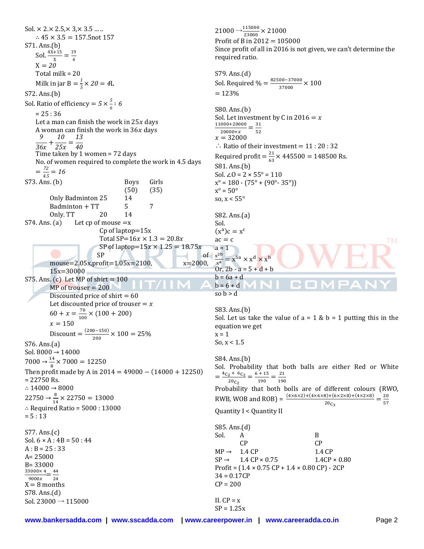Sol.  $\times$  2. $\times$  2.5, $\times$  3, $\times$  3.5 ... ..  $\therefore$  45  $\times$  3.5 = 157.5 not 157 S71. Ans.(b) Sol.  $\frac{4X+15}{X} = \frac{19}{4}$ 4 X Total milk = 20 Milk in jar B  $=$   $\frac{1}{5}$  $\frac{1}{5}$   $\times$ S72. Ans.(b) Sol. Ratio of efficiency =  $5 \times \frac{5}{6}$  $\frac{1}{6}$  :  $= 25 : 36$ Let a man can finish the work in  $25x$  days A woman can finish the work in  $36x$  days   $\frac{9}{36x} + \frac{1}{2!}$  $\frac{10}{25x} = \frac{1}{4}$  Time taken by 1 women = 72 days No. of women required to complete the work in 4.5 days  $=\frac{7}{4}$  $\frac{72}{4.5}$  = S73. Ans. (b) Boys Girls (50) (35) Only Badminton 25 14  $Badminton + TT$  5 7 Only. TT 20 14 S74. Ans. (a) Let cp of mouse  $=x$ Cp of laptop=15x Total SP=16 $x \times 1.3 = 20.8x$ SP of laptop= $15x \times 1.25 = 18.75x$  $\bullet$  SP  $\bullet$  of mouse=2.05x,profit=1.05x=2100, x=2000, 15x=30000 S75. Ans. (c) Let MP of shirt  $= 100$  $MP$  of trouser  $= 200$ Discounted price of shirt  $= 60$ Let discounted price of trouser  $= x$  $60 + x = \frac{7}{10}$  $\frac{70}{100}$  × (100 + 200)  $x = 150$ Discount =  $\frac{(200-150)}{000}$  $\frac{0-150j}{200}$  X S76. Ans.(a) Sol. 8000 → 14000  $7000 \rightarrow \frac{14}{8} \times$ Then profit made by A in  $2014 = 49000 - (14000 + 12250)$ = 22750 Rs. ∴ 14000 → 8000  $22750 \rightarrow \frac{8}{14} \times$ ∴ Required Ratio = 5000 : 3000  $= 5 : 13$ S77. Ans.(c) Sol.  $6 \times A : 4B = 50 : 44$  $A : B = 25 : 33$ A= 25000 B= 33000 3  $\frac{3000 \times 4}{9000 x} = \frac{4}{2}$  $\overline{c}$  $X = 8$  months S78. Ans.(d) Sol. 23000  $→ 115000$  $21000 \rightarrow 2$  $= 123%$  $x^{\circ} = 50^{\circ}$ Sol.  $ac = c$  $a = 1$  $x^2$ so  $h > d$  $x = 1$  $=\frac{4c_2+}{1}$  $CP = 200$ II.  $CP = x$ 

 $\frac{15000}{23000}$  X Profit of B in 2012 = 105000 Since profit of all in 2016 is not given, we can't determine the required ratio.



**www.bankersadda.com | www.sscadda.com | www.careerpower.in | www.careeradda.co.in** Page 2